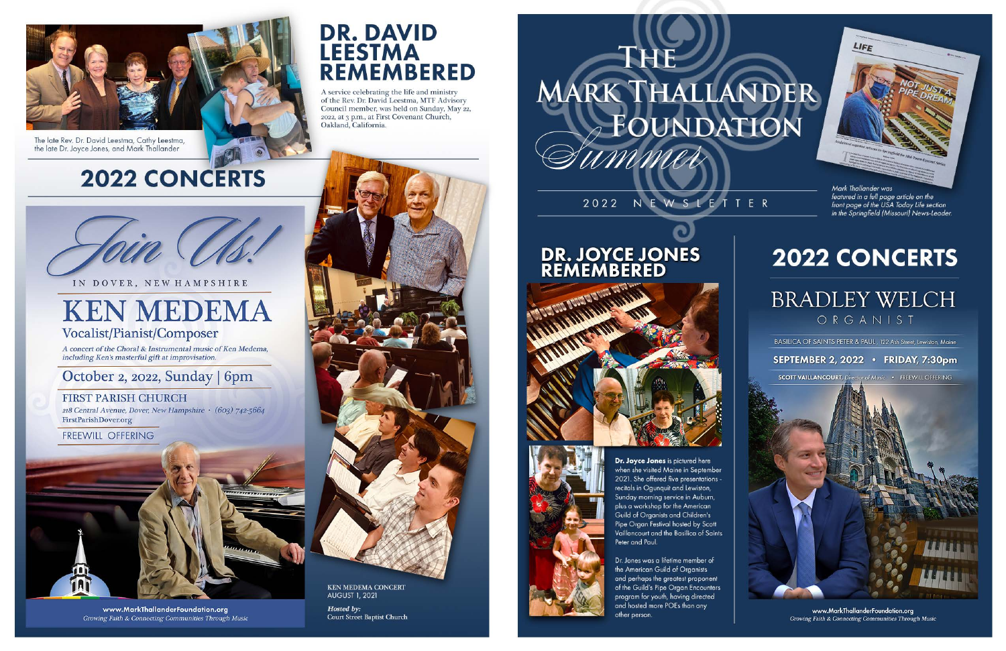

The late Rev. Dr. David Leestma, Cathy Leestma, the late Dr. Joyce Jones, and Mark Thallander

# **2022 CONCERTS**

# **DR. DAVID LEESTMA REMEMBERED**

A service celebrating the life and ministry of the Rev. Dr. David Leestma, MTF Advisory Council member, was held on Sunday, May 22,<br>2022, at 3 p.m., at First Covenant Church, Oakland, California.

IN DOVER, NEW HAMPSHIRE

# **KEN MEDEMA** Vocalist/Pianist/Composer

A concert of the Choral & Instrumental music of Ken Medema, including Ken's masterful gift at improvisation.

## October 2, 2022, Sunday | 6pm

### **FIRST PARISH CHURCH**

218 Central Avenue, Dover, New Hampshire • (603) 742-5664 FirstParishDover.org

**FREEWILL OFFERING** 



**KEN MEDEMA CONCERT AUGUST 1, 2021** 

Hosted by: **Court Street Baptist Church** 

# -1425 MARK THALLANDER FOUNDATION

## 2022 NEWSLETTER

# DR. JOYCE JONES





Dr. Joyce Jones is pictured here when she visited Maine in September 2021. She offered five presentations recitals in Ogunquit and Lewiston, Sunday morning service in Auburn, plus a workshop for the American Guild of Organists and Children's Pipe Organ Festival hosted by Scott Vaillancourt and the Basilica of Saints Peter and Paul.

Dr. Jones was a lifetime member of the American Guild of Organists and perhaps the greatest proponent of the Guild's Pipe Organ Encounters program for youth, having directed and hosted more POEs than any other person.

www.MarkThallanderFoundation.org Growing Faith & Connecting Communities Through Music

Mark Thallander was featured in a full page article on the front page of the USA Today Life section<br>in the Springfield (Missouri) News-Leader.

# **2022 CONCERTS**

LIFE

# **BRADLEY WELCH** ORGANIST

BASILICA OF SAINTS PETER & PAUL, 122 Ash Street, Lewiston, Maine

#### SEPTEMBER 2, 2022 · FRIDAY, 7:30pm

**SCOTT VAILLANCOURT**, Director of Music · FREEWILL OFFERING

www.MarkThallanderFoundation.org **Growing Faith & Connecting Communities Through Music**